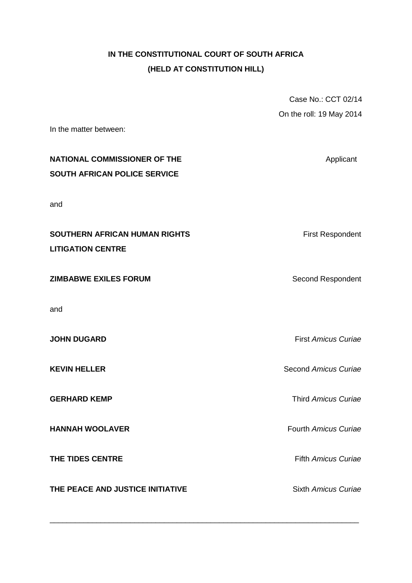## **IN THE CONSTITUTIONAL COURT OF SOUTH AFRICA (HELD AT CONSTITUTION HILL)**

|                                     | Case No.: CCT 02/14        |
|-------------------------------------|----------------------------|
|                                     | On the roll: 19 May 2014   |
| In the matter between:              |                            |
| <b>NATIONAL COMMISSIONER OF THE</b> | Applicant                  |
| SOUTH AFRICAN POLICE SERVICE        |                            |
| and                                 |                            |
| SOUTHERN AFRICAN HUMAN RIGHTS       | <b>First Respondent</b>    |
| <b>LITIGATION CENTRE</b>            |                            |
| <b>ZIMBABWE EXILES FORUM</b>        | Second Respondent          |
|                                     |                            |
| and                                 |                            |
| <b>JOHN DUGARD</b>                  | <b>First Amicus Curiae</b> |
| <b>KEVIN HELLER</b>                 | Second Amicus Curiae       |
| <b>GERHARD KEMP</b>                 | Third Amicus Curiae        |
| <b>HANNAH WOOLAVER</b>              | Fourth Amicus Curiae       |
| THE TIDES CENTRE                    | <b>Fifth Amicus Curiae</b> |
| THE PEACE AND JUSTICE INITIATIVE    | Sixth Amicus Curiae        |

\_\_\_\_\_\_\_\_\_\_\_\_\_\_\_\_\_\_\_\_\_\_\_\_\_\_\_\_\_\_\_\_\_\_\_\_\_\_\_\_\_\_\_\_\_\_\_\_\_\_\_\_\_\_\_\_\_\_\_\_\_\_\_\_\_\_\_\_\_\_\_\_\_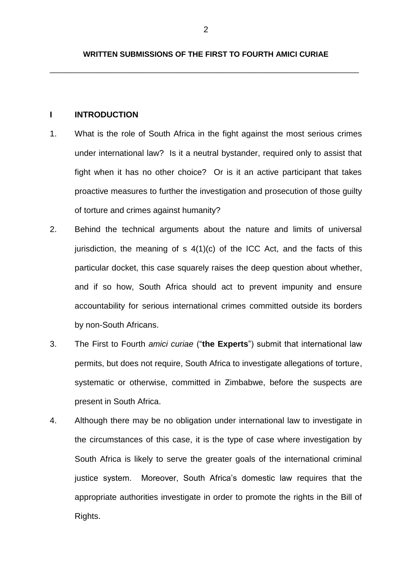\_\_\_\_\_\_\_\_\_\_\_\_\_\_\_\_\_\_\_\_\_\_\_\_\_\_\_\_\_\_\_\_\_\_\_\_\_\_\_\_\_\_\_\_\_\_\_\_\_\_\_\_\_\_\_\_\_\_\_\_\_\_\_\_\_\_\_\_\_\_\_\_\_

## **I INTRODUCTION**

- 1. What is the role of South Africa in the fight against the most serious crimes under international law? Is it a neutral bystander, required only to assist that fight when it has no other choice? Or is it an active participant that takes proactive measures to further the investigation and prosecution of those guilty of torture and crimes against humanity?
- 2. Behind the technical arguments about the nature and limits of universal jurisdiction, the meaning of  $s$  4(1)(c) of the ICC Act, and the facts of this particular docket, this case squarely raises the deep question about whether, and if so how, South Africa should act to prevent impunity and ensure accountability for serious international crimes committed outside its borders by non-South Africans.
- 3. The First to Fourth *amici curiae* ("**the Experts**") submit that international law permits, but does not require, South Africa to investigate allegations of torture, systematic or otherwise, committed in Zimbabwe, before the suspects are present in South Africa.
- 4. Although there may be no obligation under international law to investigate in the circumstances of this case, it is the type of case where investigation by South Africa is likely to serve the greater goals of the international criminal justice system. Moreover, South Africa's domestic law requires that the appropriate authorities investigate in order to promote the rights in the Bill of Rights.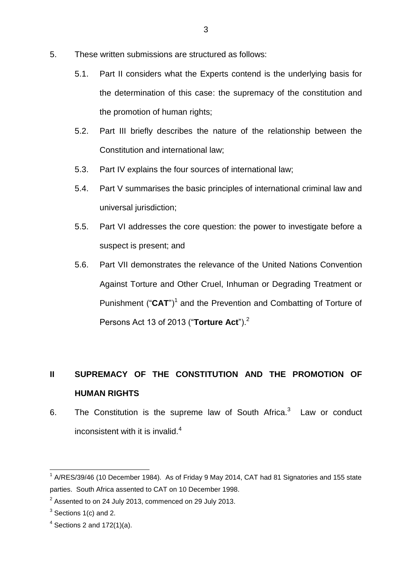- 5. These written submissions are structured as follows:
	- 5.1. Part II considers what the Experts contend is the underlying basis for the determination of this case: the supremacy of the constitution and the promotion of human rights;
	- 5.2. Part III briefly describes the nature of the relationship between the Constitution and international law;
	- 5.3. Part IV explains the four sources of international law;
	- 5.4. Part V summarises the basic principles of international criminal law and universal jurisdiction;
	- 5.5. Part VI addresses the core question: the power to investigate before a suspect is present; and
	- 5.6. Part VII demonstrates the relevance of the United Nations Convention Against Torture and Other Cruel, Inhuman or Degrading Treatment or Punishment ("CAT")<sup>1</sup> and the Prevention and Combatting of Torture of Persons Act 13 of 2013 ("**Torture Act**").<sup>2</sup>

# **II SUPREMACY OF THE CONSTITUTION AND THE PROMOTION OF HUMAN RIGHTS**

6. The Constitution is the supreme law of South Africa. $3$  Law or conduct inconsistent with it is invalid. $4$ 

<sup>1</sup>  $1$  A/RES/39/46 (10 December 1984). As of Friday 9 May 2014, CAT had 81 Signatories and 155 state parties. South Africa assented to CAT on 10 December 1998.

 $2^{2}$  Assented to on 24 July 2013, commenced on 29 July 2013.

 $3$  Sections 1(c) and 2.

 $4$  Sections 2 and 172(1)(a).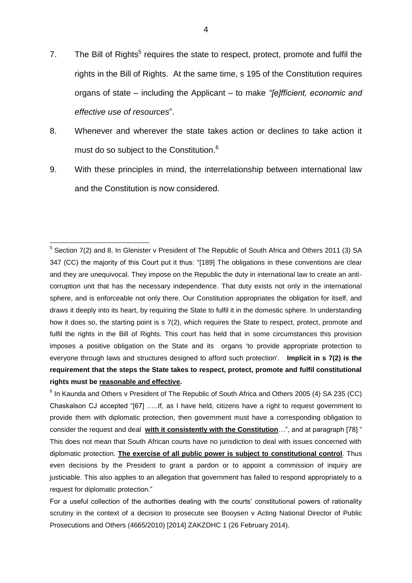- 7. The Bill of Rights<sup>5</sup> requires the state to respect, protect, promote and fulfil the rights in the Bill of Rights. At the same time, s 195 of the Constitution requires organs of state – including the Applicant – to make *"[e]fficient, economic and effective use of resources*".
- 8. Whenever and wherever the state takes action or declines to take action it must do so subject to the Constitution.<sup>6</sup>
- 9. With these principles in mind, the interrelationship between international law and the Constitution is now considered.

 5 Section 7(2) and 8. In Glenister v President of The Republic of South Africa and Others 2011 (3) SA 347 (CC) the majority of this Court put it thus: "[189] The obligations in these conventions are clear and they are unequivocal. They impose on the Republic the duty in international law to create an anticorruption unit that has the necessary independence. That duty exists not only in the international sphere, and is enforceable not only there. Our Constitution appropriates the obligation for itself, and draws it deeply into its heart, by requiring the State to fulfil it in the domestic sphere. In understanding how it does so, the starting point is s 7(2), which requires the State to respect, protect, promote and fulfil the rights in the Bill of Rights. This court has held that in some circumstances this provision imposes a positive obligation on the State and its organs 'to provide appropriate protection to everyone through laws and structures designed to afford such protection'. **Implicit in s 7(2) is the requirement that the steps the State takes to respect, protect, promote and fulfil constitutional rights must be reasonable and effective.**

 $^6$  In Kaunda and Others v President of The Republic of South Africa and Others 2005 (4) SA 235 (CC) Chaskalson CJ accepted "[67] …..If, as I have held, citizens have a right to request government to provide them with diplomatic protection, then government must have a corresponding obligation to consider the request and deal **with it consistently with the Constitution**…", and at paragraph [78] " This does not mean that South African courts have no jurisdiction to deal with issues concerned with diplomatic protection. **The exercise of all public power is subject to constitutional control**. Thus even decisions by the President to grant a pardon or to appoint a commission of inquiry are justiciable. This also applies to an allegation that government has failed to respond appropriately to a request for diplomatic protection."

For a useful collection of the authorities dealing with the courts' constitutional powers of rationality scrutiny in the context of a decision to prosecute see Booysen y Acting National Director of Public Prosecutions and Others (4665/2010) [2014] ZAKZDHC 1 (26 February 2014).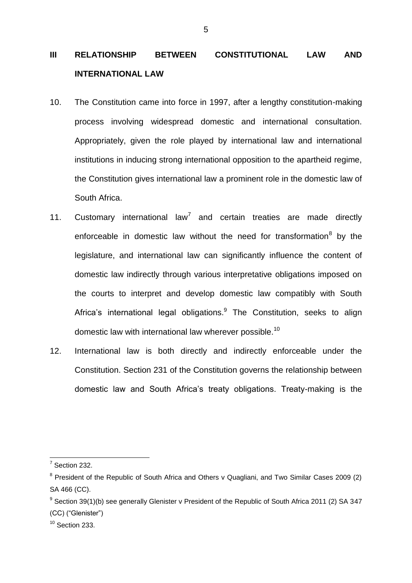# **III RELATIONSHIP BETWEEN CONSTITUTIONAL LAW AND INTERNATIONAL LAW**

- 10. The Constitution came into force in 1997, after a lengthy constitution-making process involving widespread domestic and international consultation. Appropriately, given the role played by international law and international institutions in inducing strong international opposition to the apartheid regime, the Constitution gives international law a prominent role in the domestic law of South Africa.
- 11. Customary international law<sup>7</sup> and certain treaties are made directly enforceable in domestic law without the need for transformation<sup>8</sup> by the legislature, and international law can significantly influence the content of domestic law indirectly through various interpretative obligations imposed on the courts to interpret and develop domestic law compatibly with South Africa's international legal obligations. $9$  The Constitution, seeks to align domestic law with international law wherever possible.<sup>10</sup>
- 12. International law is both directly and indirectly enforceable under the Constitution. Section 231 of the Constitution governs the relationship between domestic law and South Africa's treaty obligations. Treaty-making is the

<sup>1</sup>  $<sup>7</sup>$  Section 232.</sup>

<sup>&</sup>lt;sup>8</sup> President of the Republic of South Africa and Others v Quagliani, and Two Similar Cases 2009 (2) SA 466 (CC).

 $9$  Section 39(1)(b) see generally Glenister v President of the Republic of South Africa 2011 (2) SA 347 (CC) ("Glenister")

 $10$  Section 233.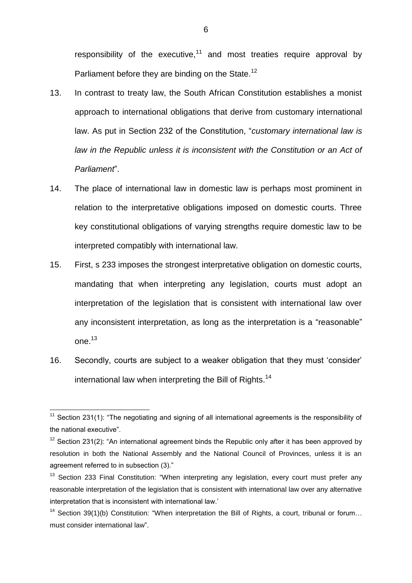responsibility of the executive, $11$  and most treaties require approval by Parliament before they are binding on the State.<sup>12</sup>

- 13. In contrast to treaty law, the South African Constitution establishes a monist approach to international obligations that derive from customary international law. As put in Section 232 of the Constitution, "*customary international law is*  law in the Republic unless it is inconsistent with the Constitution or an Act of *Parliament*".
- 14. The place of international law in domestic law is perhaps most prominent in relation to the interpretative obligations imposed on domestic courts. Three key constitutional obligations of varying strengths require domestic law to be interpreted compatibly with international law.
- 15. First, s 233 imposes the strongest interpretative obligation on domestic courts, mandating that when interpreting any legislation, courts must adopt an interpretation of the legislation that is consistent with international law over any inconsistent interpretation, as long as the interpretation is a "reasonable" one. $^{13}$
- 16. Secondly, courts are subject to a weaker obligation that they must 'consider' international law when interpreting the Bill of Rights.<sup>14</sup>

<sup>1</sup>  $11$  Section 231(1): "The negotiating and signing of all international agreements is the responsibility of the national executive".

 $12$  Section 231(2): "An international agreement binds the Republic only after it has been approved by resolution in both the National Assembly and the National Council of Provinces, unless it is an agreement referred to in subsection (3)."

<sup>&</sup>lt;sup>13</sup> Section 233 Final Constitution: "When interpreting any legislation, every court must prefer any reasonable interpretation of the legislation that is consistent with international law over any alternative interpretation that is inconsistent with international law.'

<sup>&</sup>lt;sup>14</sup> Section 39(1)(b) Constitution: "When interpretation the Bill of Rights, a court, tribunal or forum... must consider international law".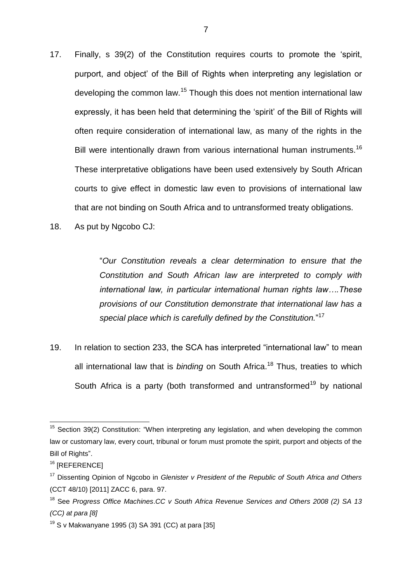- 17. Finally, s 39(2) of the Constitution requires courts to promote the 'spirit, purport, and object' of the Bill of Rights when interpreting any legislation or developing the common law.<sup>15</sup> Though this does not mention international law expressly, it has been held that determining the 'spirit' of the Bill of Rights will often require consideration of international law, as many of the rights in the Bill were intentionally drawn from various international human instruments.<sup>16</sup> These interpretative obligations have been used extensively by South African courts to give effect in domestic law even to provisions of international law that are not binding on South Africa and to untransformed treaty obligations.
- 18. As put by Ngcobo CJ:

"*Our Constitution reveals a clear determination to ensure that the Constitution and South African law are interpreted to comply with international law, in particular international human rights law….These provisions of our Constitution demonstrate that international law has a special place which is carefully defined by the Constitution.*" 17

19. In relation to section 233, the SCA has interpreted "international law" to mean all international law that is *binding* on South Africa.<sup>18</sup> Thus, treaties to which South Africa is a party (both transformed and untransformed<sup>19</sup> by national

 $15$  Section 39(2) Constitution: "When interpreting any legislation, and when developing the common law or customary law, every court, tribunal or forum must promote the spirit, purport and objects of the Bill of Rights".

 $16$  [REFERENCE]

<sup>17</sup> Dissenting Opinion of Ngcobo in *Glenister v President of the Republic of South Africa and Others*  (CCT 48/10) [2011] ZACC 6, para. 97.

<sup>18</sup> See *Progress Office Machines*.*CC v South Africa Revenue Services and Others 2008 (2) SA 13 (CC) at para [8]*

 $19$  S v Makwanyane 1995 (3) SA 391 (CC) at para [35]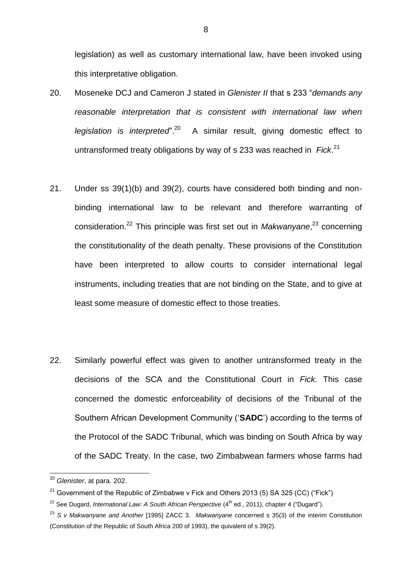legislation) as well as customary international law, have been invoked using this interpretative obligation.

- 20. Moseneke DCJ and Cameron J stated in *Glenister II* that s 233 "*demands any reasonable interpretation that is consistent with international law when legislation is interpreted*". 20 A similar result, giving domestic effect to untransformed treaty obligations by way of s 233 was reached in *Fick*. 21
- 21. Under ss 39(1)(b) and 39(2), courts have considered both binding and nonbinding international law to be relevant and therefore warranting of consideration.<sup>22</sup> This principle was first set out in *Makwanyane*, <sup>23</sup> concerning the constitutionality of the death penalty. These provisions of the Constitution have been interpreted to allow courts to consider international legal instruments, including treaties that are not binding on the State, and to give at least some measure of domestic effect to those treaties.
- 22. Similarly powerful effect was given to another untransformed treaty in the decisions of the SCA and the Constitutional Court in *Fick*. This case concerned the domestic enforceability of decisions of the Tribunal of the Southern African Development Community ('**SADC**') according to the terms of the Protocol of the SADC Tribunal, which was binding on South Africa by way of the SADC Treaty. In the case, two Zimbabwean farmers whose farms had

<sup>20</sup> *Glenister*, at para. 202.

 $21$  Government of the Republic of Zimbabwe v Fick and Others 2013 (5) SA 325 (CC) ("Fick")

<sup>&</sup>lt;sup>22</sup> See Dugard, *International Law: A South African Perspective* (4<sup>th</sup> ed., 2011), chapter 4 ("Dugard").

<sup>23</sup> *S v Makwanyane and Another* [1995] ZACC 3. *Makwanyane* concerned s 35(3) of the interim Constitution (Constitution of the Republic of South Africa 200 of 1993), the quivalent of s 39(2).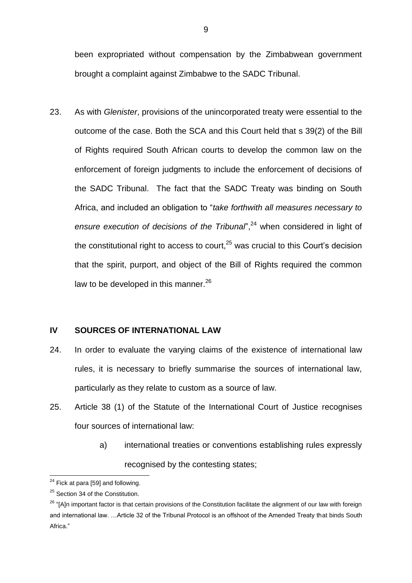been expropriated without compensation by the Zimbabwean government brought a complaint against Zimbabwe to the SADC Tribunal.

23. As with *Glenister*, provisions of the unincorporated treaty were essential to the outcome of the case. Both the SCA and this Court held that s 39(2) of the Bill of Rights required South African courts to develop the common law on the enforcement of foreign judgments to include the enforcement of decisions of the SADC Tribunal. The fact that the SADC Treaty was binding on South Africa, and included an obligation to "*take forthwith all measures necessary to*  ensure execution of decisions of the Tribunal<sup>"</sup>,<sup>24</sup> when considered in light of the constitutional right to access to court, $^{25}$  was crucial to this Court's decision that the spirit, purport, and object of the Bill of Rights required the common law to be developed in this manner. $^{26}$ 

### **IV SOURCES OF INTERNATIONAL LAW**

- 24. In order to evaluate the varying claims of the existence of international law rules, it is necessary to briefly summarise the sources of international law, particularly as they relate to custom as a source of law.
- 25. Article 38 (1) of the Statute of the International Court of Justice recognises four sources of international law:
	- a) international treaties or conventions establishing rules expressly recognised by the contesting states;

<sup>1</sup>  $24$  Fick at para [59] and following.

<sup>&</sup>lt;sup>25</sup> Section 34 of the Constitution.

<sup>&</sup>lt;sup>26</sup> "[A]n important factor is that certain provisions of the Constitution facilitate the alignment of our law with foreign and international law. …Article 32 of the Tribunal Protocol is an offshoot of the Amended Treaty that binds South Africa."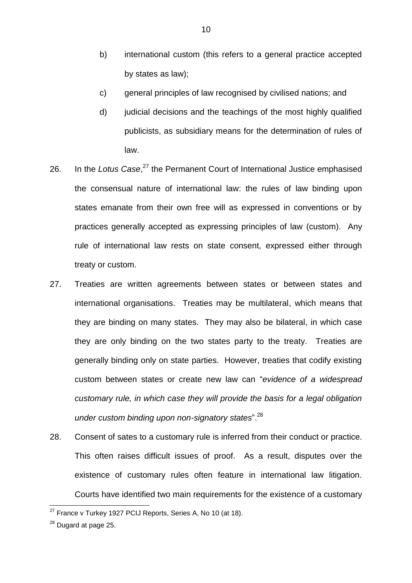- b) international custom (this refers to a general practice accepted by states as law);
- c) general principles of law recognised by civilised nations; and
- d) judicial decisions and the teachings of the most highly qualified publicists, as subsidiary means for the determination of rules of law.
- 26. In the Lotus Case,<sup>27</sup> the Permanent Court of International Justice emphasised the consensual nature of international law: the rules of law binding upon states emanate from their own free will as expressed in conventions or by practices generally accepted as expressing principles of law (custom). Any rule of international law rests on state consent, expressed either through treaty or custom.
- 27. Treaties are written agreements between states or between states and international organisations. Treaties may be multilateral, which means that they are binding on many states. They may also be bilateral, in which case they are only binding on the two states party to the treaty. Treaties are generally binding only on state parties. However, treaties that codify existing custom between states or create new law can "*evidence of a widespread customary rule, in which case they will provide the basis for a legal obligation under custom binding upon non-signatory states*". 28
- 28. Consent of sates to a customary rule is inferred from their conduct or practice. This often raises difficult issues of proof. As a result, disputes over the existence of customary rules often feature in international law litigation. Courts have identified two main requirements for the existence of a customary

 $27$  France v Turkey 1927 PCIJ Reports, Series A, No 10 (at 18).

<sup>&</sup>lt;sup>28</sup> Dugard at page 25.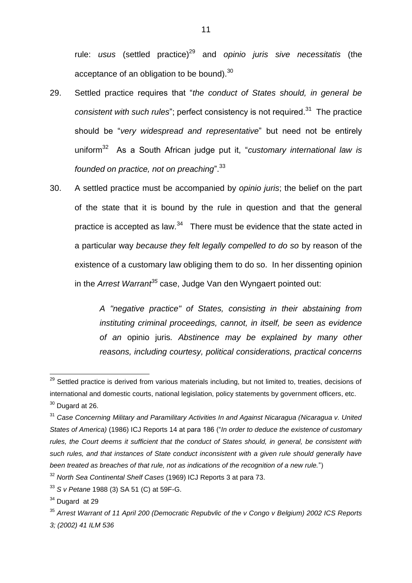rule: *usus* (settled practice)<sup>29</sup> and *opinio juris sive necessitatis* (the acceptance of an obligation to be bound).<sup>30</sup>

- 29. Settled practice requires that "*the conduct of States should, in general be*  consistent with such rules"; perfect consistency is not required.<sup>31</sup> The practice should be "*very widespread and representative*" but need not be entirely uniform<sup>32</sup> As a South African judge put it, "*customary international law is founded on practice, not on preaching*". 33
- 30. A settled practice must be accompanied by *opinio juris*; the belief on the part of the state that it is bound by the rule in question and that the general practice is accepted as law. $34$  There must be evidence that the state acted in a particular way *because they felt legally compelled to do so* by reason of the existence of a customary law obliging them to do so. In her dissenting opinion in the *Arrest Warrant<sup>35</sup>* case, Judge Van den Wyngaert pointed out:

*A "negative practice" of States, consisting in their abstaining from instituting criminal proceedings, cannot, in itself, be seen as evidence of an* opinio juris*. Abstinence may be explained by many other reasons, including courtesy, political considerations, practical concerns* 

<sup>&</sup>lt;sup>29</sup> Settled practice is derived from various materials including, but not limited to, treaties, decisions of international and domestic courts, national legislation, policy statements by government officers, etc.  $30$  Dugard at 26.

<sup>31</sup> *Case Concerning Military and Paramilitary Activities In and Against Nicaragua (Nicaragua v. United States of America)* (1986) ICJ Reports 14 at para 186 ("*In order to deduce the existence of customary rules, the Court deems it sufficient that the conduct of States should, in general, be consistent with such rules, and that instances of State conduct inconsistent with a given rule should generally have been treated as breaches of that rule, not as indications of the recognition of a new rule.*")

<sup>32</sup> *North Sea Continental Shelf Cases* (1969) ICJ Reports 3 at para 73.

<sup>33</sup> *S v Petane* 1988 (3) SA 51 (C) at 59F-G.

 $34$  Dugard at 29

<sup>35</sup> *Arrest Warrant of 11 April 200 (Democratic Repubvlic of the v Congo v Belgium) 2002 ICS Reports 3; (2002) 41 ILM 536*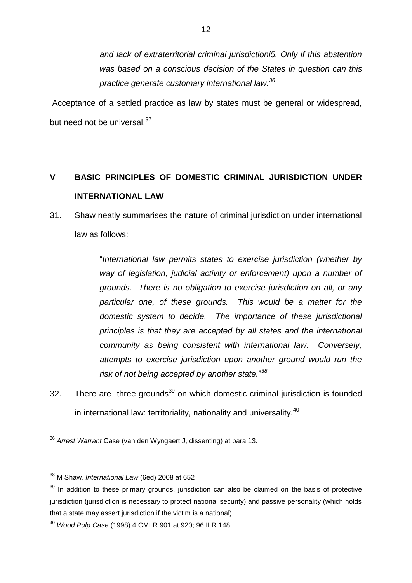*and lack of extraterritorial criminal jurisdictioni5. Only if this abstention was based on a conscious decision of the States in question can this practice generate customary international law.<sup>36</sup>*

Acceptance of a settled practice as law by states must be general or widespread, but need not be universal.<sup>37</sup>

## **V BASIC PRINCIPLES OF DOMESTIC CRIMINAL JURISDICTION UNDER INTERNATIONAL LAW**

31. Shaw neatly summarises the nature of criminal jurisdiction under international law as follows:

> "*International law permits states to exercise jurisdiction (whether by way of legislation, judicial activity or enforcement) upon a number of grounds. There is no obligation to exercise jurisdiction on all, or any particular one, of these grounds. This would be a matter for the domestic system to decide. The importance of these jurisdictional principles is that they are accepted by all states and the international community as being consistent with international law. Conversely, attempts to exercise jurisdiction upon another ground would run the risk of not being accepted by another state.*" *38*

32. There are three grounds<sup>39</sup> on which domestic criminal jurisdiction is founded in international law: territoriality, nationality and universality.<sup>40</sup>

<sup>36</sup> *Arrest Warrant* Case (van den Wyngaert J, dissenting) at para 13.

<sup>38</sup> M Shaw*, International Law* (6ed) 2008 at 652

 $39$  In addition to these primary grounds, jurisdiction can also be claimed on the basis of protective jurisdiction (jurisdiction is necessary to protect national security) and passive personality (which holds that a state may assert jurisdiction if the victim is a national).

<sup>40</sup> *Wood Pulp Case* (1998) 4 CMLR 901 at 920; 96 ILR 148.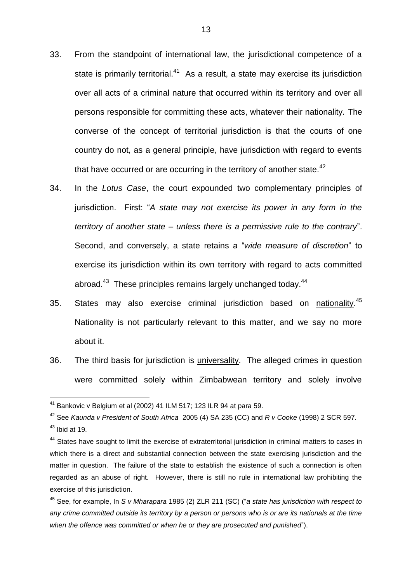- 33. From the standpoint of international law, the jurisdictional competence of a state is primarily territorial.<sup>41</sup> As a result, a state may exercise its jurisdiction over all acts of a criminal nature that occurred within its territory and over all persons responsible for committing these acts, whatever their nationality. The converse of the concept of territorial jurisdiction is that the courts of one country do not, as a general principle, have jurisdiction with regard to events that have occurred or are occurring in the territory of another state. $42$
- 34. In the *Lotus Case*, the court expounded two complementary principles of jurisdiction. First: "*A state may not exercise its power in any form in the territory of another state – unless there is a permissive rule to the contrary*". Second, and conversely, a state retains a "*wide measure of discretion*" to exercise its jurisdiction within its own territory with regard to acts committed abroad.<sup>43</sup> These principles remains largely unchanged today.<sup>44</sup>
- 35. States may also exercise criminal jurisdiction based on nationality.<sup>45</sup> Nationality is not particularly relevant to this matter, and we say no more about it.
- 36. The third basis for jurisdiction is universality. The alleged crimes in question were committed solely within Zimbabwean territory and solely involve

 $41$  Bankovic v Belgium et al (2002) 41 ILM 517; 123 ILR 94 at para 59.

<sup>42</sup> See *Kaunda v President of South Africa* 2005 (4) SA 235 (CC) and *R v Cooke* (1998) 2 SCR 597.

 $43$  Ibid at 19.

<sup>&</sup>lt;sup>44</sup> States have sought to limit the exercise of extraterritorial jurisdiction in criminal matters to cases in which there is a direct and substantial connection between the state exercising jurisdiction and the matter in question. The failure of the state to establish the existence of such a connection is often regarded as an abuse of right. However, there is still no rule in international law prohibiting the exercise of this jurisdiction.

<sup>45</sup> See, for example, In *S v Mharapara* 1985 (2) ZLR 211 (SC) ("*a state has jurisdiction with respect to any crime committed outside its territory by a person or persons who is or are its nationals at the time when the offence was committed or when he or they are prosecuted and punished*").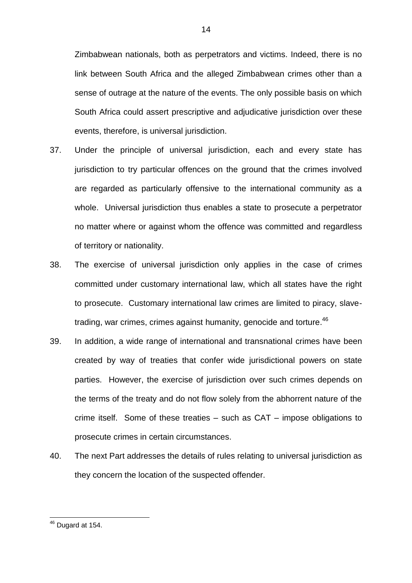Zimbabwean nationals, both as perpetrators and victims. Indeed, there is no link between South Africa and the alleged Zimbabwean crimes other than a sense of outrage at the nature of the events. The only possible basis on which South Africa could assert prescriptive and adjudicative jurisdiction over these events, therefore, is universal jurisdiction.

- 37. Under the principle of universal jurisdiction, each and every state has jurisdiction to try particular offences on the ground that the crimes involved are regarded as particularly offensive to the international community as a whole. Universal jurisdiction thus enables a state to prosecute a perpetrator no matter where or against whom the offence was committed and regardless of territory or nationality.
- 38. The exercise of universal jurisdiction only applies in the case of crimes committed under customary international law, which all states have the right to prosecute. Customary international law crimes are limited to piracy, slavetrading, war crimes, crimes against humanity, genocide and torture. 46
- 39. In addition, a wide range of international and transnational crimes have been created by way of treaties that confer wide jurisdictional powers on state parties. However, the exercise of jurisdiction over such crimes depends on the terms of the treaty and do not flow solely from the abhorrent nature of the crime itself. Some of these treaties – such as CAT – impose obligations to prosecute crimes in certain circumstances.
- 40. The next Part addresses the details of rules relating to universal jurisdiction as they concern the location of the suspected offender.

 $46$  Dugard at 154.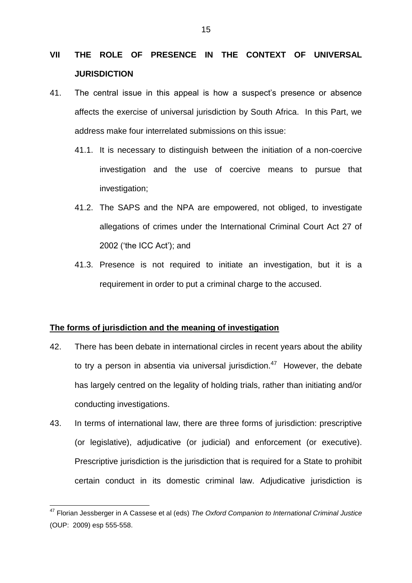## **VII THE ROLE OF PRESENCE IN THE CONTEXT OF UNIVERSAL JURISDICTION**

- 41. The central issue in this appeal is how a suspect's presence or absence affects the exercise of universal jurisdiction by South Africa. In this Part, we address make four interrelated submissions on this issue:
	- 41.1. It is necessary to distinguish between the initiation of a non-coercive investigation and the use of coercive means to pursue that investigation;
	- 41.2. The SAPS and the NPA are empowered, not obliged, to investigate allegations of crimes under the International Criminal Court Act 27 of 2002 ('the ICC Act'); and
	- 41.3. Presence is not required to initiate an investigation, but it is a requirement in order to put a criminal charge to the accused.

### **The forms of jurisdiction and the meaning of investigation**

- 42. There has been debate in international circles in recent years about the ability to try a person in absentia via universal jurisdiction.<sup>47</sup> However, the debate has largely centred on the legality of holding trials, rather than initiating and/or conducting investigations.
- 43. In terms of international law, there are three forms of jurisdiction: prescriptive (or legislative), adjudicative (or judicial) and enforcement (or executive). Prescriptive jurisdiction is the jurisdiction that is required for a State to prohibit certain conduct in its domestic criminal law. Adjudicative jurisdiction is

<sup>47</sup> Florian Jessberger in A Cassese et al (eds) *The Oxford Companion to International Criminal Justice* (OUP: 2009) esp 555-558.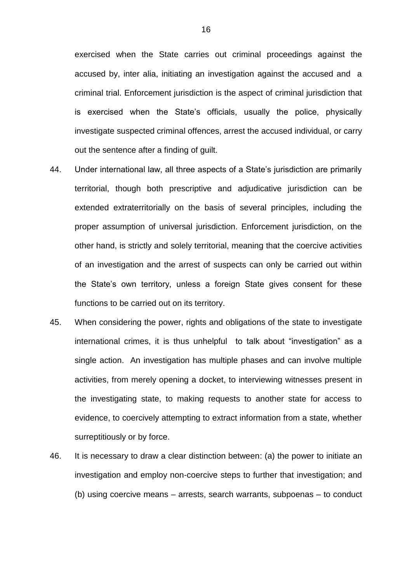exercised when the State carries out criminal proceedings against the accused by, inter alia, initiating an investigation against the accused and a criminal trial. Enforcement jurisdiction is the aspect of criminal jurisdiction that is exercised when the State's officials, usually the police, physically investigate suspected criminal offences, arrest the accused individual, or carry out the sentence after a finding of guilt.

- 44. Under international law, all three aspects of a State's jurisdiction are primarily territorial, though both prescriptive and adjudicative jurisdiction can be extended extraterritorially on the basis of several principles, including the proper assumption of universal jurisdiction. Enforcement jurisdiction, on the other hand, is strictly and solely territorial, meaning that the coercive activities of an investigation and the arrest of suspects can only be carried out within the State's own territory, unless a foreign State gives consent for these functions to be carried out on its territory.
- 45. When considering the power, rights and obligations of the state to investigate international crimes, it is thus unhelpful to talk about "investigation" as a single action. An investigation has multiple phases and can involve multiple activities, from merely opening a docket, to interviewing witnesses present in the investigating state, to making requests to another state for access to evidence, to coercively attempting to extract information from a state, whether surreptitiously or by force.
- 46. It is necessary to draw a clear distinction between: (a) the power to initiate an investigation and employ non-coercive steps to further that investigation; and (b) using coercive means – arrests, search warrants, subpoenas – to conduct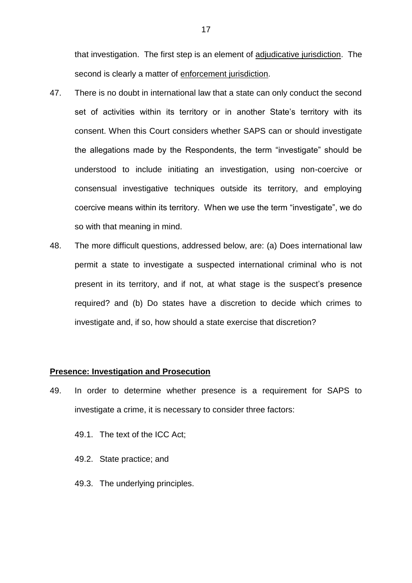that investigation. The first step is an element of adjudicative jurisdiction. The second is clearly a matter of enforcement jurisdiction.

- 47. There is no doubt in international law that a state can only conduct the second set of activities within its territory or in another State's territory with its consent. When this Court considers whether SAPS can or should investigate the allegations made by the Respondents, the term "investigate" should be understood to include initiating an investigation, using non-coercive or consensual investigative techniques outside its territory, and employing coercive means within its territory. When we use the term "investigate", we do so with that meaning in mind.
- 48. The more difficult questions, addressed below, are: (a) Does international law permit a state to investigate a suspected international criminal who is not present in its territory, and if not, at what stage is the suspect's presence required? and (b) Do states have a discretion to decide which crimes to investigate and, if so, how should a state exercise that discretion?

#### **Presence: Investigation and Prosecution**

- 49. In order to determine whether presence is a requirement for SAPS to investigate a crime, it is necessary to consider three factors:
	- 49.1. The text of the ICC Act;
	- 49.2. State practice; and
	- 49.3. The underlying principles.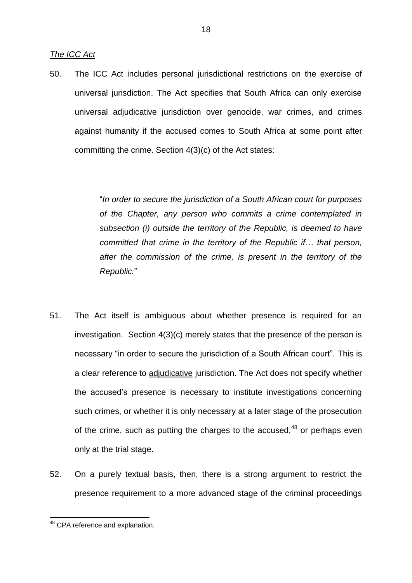*The ICC Act*

50. The ICC Act includes personal jurisdictional restrictions on the exercise of universal jurisdiction. The Act specifies that South Africa can only exercise universal adjudicative jurisdiction over genocide, war crimes, and crimes against humanity if the accused comes to South Africa at some point after committing the crime. Section 4(3)(c) of the Act states:

> "*In order to secure the jurisdiction of a South African court for purposes of the Chapter, any person who commits a crime contemplated in subsection (i) outside the territory of the Republic, is deemed to have committed that crime in the territory of the Republic if… that person, after the commission of the crime, is present in the territory of the Republic.*"

- 51. The Act itself is ambiguous about whether presence is required for an investigation. Section 4(3)(c) merely states that the presence of the person is necessary "in order to secure the jurisdiction of a South African court". This is a clear reference to adjudicative jurisdiction. The Act does not specify whether the accused's presence is necessary to institute investigations concerning such crimes, or whether it is only necessary at a later stage of the prosecution of the crime, such as putting the charges to the accused,  $48$  or perhaps even only at the trial stage.
- 52. On a purely textual basis, then, there is a strong argument to restrict the presence requirement to a more advanced stage of the criminal proceedings

<sup>&</sup>lt;sup>48</sup> CPA reference and explanation.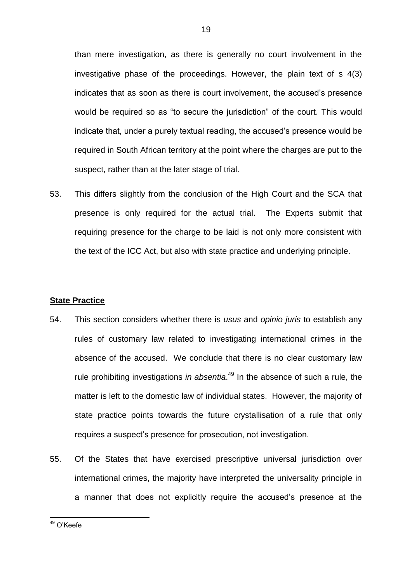than mere investigation, as there is generally no court involvement in the investigative phase of the proceedings. However, the plain text of s 4(3) indicates that as soon as there is court involvement, the accused's presence would be required so as "to secure the jurisdiction" of the court. This would indicate that, under a purely textual reading, the accused's presence would be required in South African territory at the point where the charges are put to the suspect, rather than at the later stage of trial.

53. This differs slightly from the conclusion of the High Court and the SCA that presence is only required for the actual trial. The Experts submit that requiring presence for the charge to be laid is not only more consistent with the text of the ICC Act, but also with state practice and underlying principle.

#### **State Practice**

- 54. This section considers whether there is *usus* and *opinio juris* to establish any rules of customary law related to investigating international crimes in the absence of the accused. We conclude that there is no clear customary law rule prohibiting investigations *in absentia*. <sup>49</sup> In the absence of such a rule, the matter is left to the domestic law of individual states. However, the majority of state practice points towards the future crystallisation of a rule that only requires a suspect's presence for prosecution, not investigation.
- 55. Of the States that have exercised prescriptive universal jurisdiction over international crimes, the majority have interpreted the universality principle in a manner that does not explicitly require the accused's presence at the

<sup>&</sup>lt;sup>49</sup> O'Keefe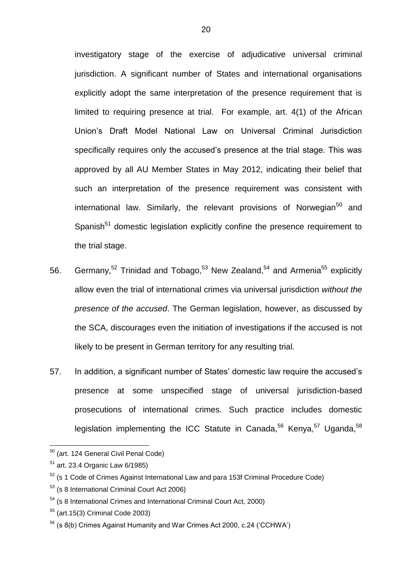investigatory stage of the exercise of adjudicative universal criminal jurisdiction. A significant number of States and international organisations explicitly adopt the same interpretation of the presence requirement that is limited to requiring presence at trial. For example, art. 4(1) of the African Union's Draft Model National Law on Universal Criminal Jurisdiction specifically requires only the accused's presence at the trial stage. This was approved by all AU Member States in May 2012, indicating their belief that such an interpretation of the presence requirement was consistent with international law. Similarly, the relevant provisions of Norwegian<sup>50</sup> and Spanish<sup>51</sup> domestic legislation explicitly confine the presence requirement to the trial stage.

- 56. Germany,  $52$  Trinidad and Tobago,  $53$  New Zealand,  $54$  and Armenia  $55$  explicitly allow even the trial of international crimes via universal jurisdiction *without the presence of the accused*. The German legislation, however, as discussed by the SCA, discourages even the initiation of investigations if the accused is not likely to be present in German territory for any resulting trial.
- 57. In addition, a significant number of States' domestic law require the accused's presence at some unspecified stage of universal jurisdiction-based prosecutions of international crimes. Such practice includes domestic legislation implementing the ICC Statute in Canada,<sup>56</sup> Kenya,<sup>57</sup> Uganda,<sup>58</sup>

<sup>&</sup>lt;sup>50</sup> (art. 124 General Civil Penal Code)

 $51$  art. 23.4 Organic Law 6/1985)

 $52$  (s 1 Code of Crimes Against International Law and para 153f Criminal Procedure Code)

<sup>53</sup> (s 8 International Criminal Court Act 2006)

<sup>54</sup> (s 8 International Crimes and International Criminal Court Act, 2000)

<sup>55</sup> (art.15(3) Criminal Code 2003)

<sup>56</sup> (s 8(b) Crimes Against Humanity and War Crimes Act 2000, c.24 ('CCHWA')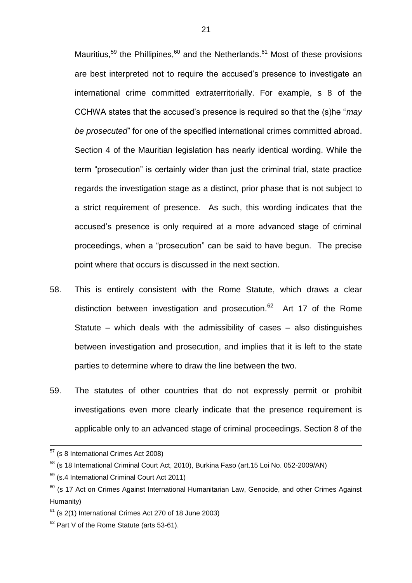Mauritius,<sup>59</sup> the Phillipines,<sup>60</sup> and the Netherlands.<sup>61</sup> Most of these provisions are best interpreted not to require the accused's presence to investigate an international crime committed extraterritorially. For example, s 8 of the CCHWA states that the accused's presence is required so that the (s)he "*may be prosecuted*" for one of the specified international crimes committed abroad. Section 4 of the Mauritian legislation has nearly identical wording. While the term "prosecution" is certainly wider than just the criminal trial, state practice regards the investigation stage as a distinct, prior phase that is not subject to a strict requirement of presence. As such, this wording indicates that the accused's presence is only required at a more advanced stage of criminal proceedings, when a "prosecution" can be said to have begun. The precise point where that occurs is discussed in the next section.

- 58. This is entirely consistent with the Rome Statute, which draws a clear distinction between investigation and prosecution.<sup>62</sup> Art 17 of the Rome Statute – which deals with the admissibility of cases – also distinguishes between investigation and prosecution, and implies that it is left to the state parties to determine where to draw the line between the two.
- 59. The statutes of other countries that do not expressly permit or prohibit investigations even more clearly indicate that the presence requirement is applicable only to an advanced stage of criminal proceedings. Section 8 of the

 $57$  (s 8 International Crimes Act 2008)

<sup>58</sup> (s 18 International Criminal Court Act, 2010), Burkina Faso (art.15 Loi No. 052-2009/AN)

<sup>59</sup> (s.4 International Criminal Court Act 2011)

<sup>&</sup>lt;sup>60</sup> (s 17 Act on Crimes Against International Humanitarian Law, Genocide, and other Crimes Against Humanity)

 $61$  (s 2(1) International Crimes Act 270 of 18 June 2003)

 $62$  Part V of the Rome Statute (arts 53-61).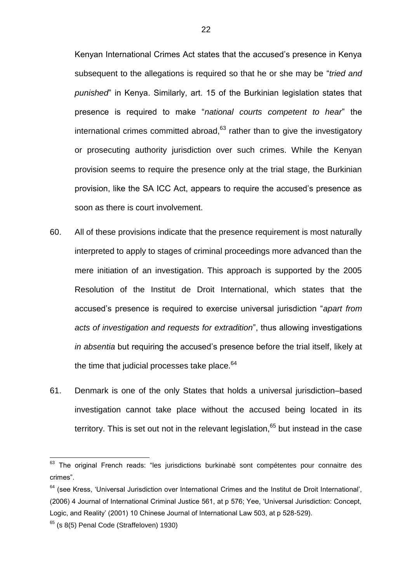Kenyan International Crimes Act states that the accused's presence in Kenya subsequent to the allegations is required so that he or she may be "*tried and punished*" in Kenya. Similarly, art. 15 of the Burkinian legislation states that presence is required to make "*national courts competent to hear*" the international crimes committed abroad, $63$  rather than to give the investigatory or prosecuting authority jurisdiction over such crimes. While the Kenyan provision seems to require the presence only at the trial stage, the Burkinian provision, like the SA ICC Act, appears to require the accused's presence as soon as there is court involvement.

- 60. All of these provisions indicate that the presence requirement is most naturally interpreted to apply to stages of criminal proceedings more advanced than the mere initiation of an investigation. This approach is supported by the 2005 Resolution of the Institut de Droit International, which states that the accused's presence is required to exercise universal jurisdiction "*apart from acts of investigation and requests for extradition*", thus allowing investigations *in absentia* but requiring the accused's presence before the trial itself, likely at the time that judicial processes take place.<sup>64</sup>
- 61. Denmark is one of the only States that holds a universal jurisdiction–based investigation cannot take place without the accused being located in its territory. This is set out not in the relevant legislation,  $65$  but instead in the case

 $63$  The original French reads: "les jurisdictions burkinabè sont compétentes pour connaitre des crimes".

 $64$  (see Kress, 'Universal Jurisdiction over International Crimes and the Institut de Droit International', (2006) 4 Journal of International Criminal Justice 561, at p 576; Yee, 'Universal Jurisdiction: Concept, Logic, and Reality' (2001) 10 Chinese Journal of International Law 503, at p 528-529).

 $65$  (s 8(5) Penal Code (Straffeloven) 1930)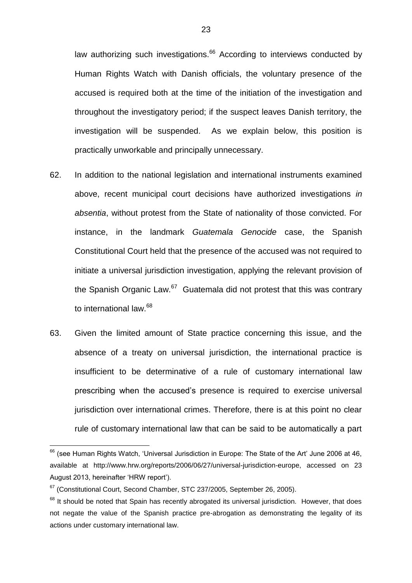law authorizing such investigations. $^{66}$  According to interviews conducted by Human Rights Watch with Danish officials, the voluntary presence of the accused is required both at the time of the initiation of the investigation and throughout the investigatory period; if the suspect leaves Danish territory, the investigation will be suspended. As we explain below, this position is practically unworkable and principally unnecessary.

- 62. In addition to the national legislation and international instruments examined above, recent municipal court decisions have authorized investigations *in absentia*, without protest from the State of nationality of those convicted. For instance, in the landmark *Guatemala Genocide* case, the Spanish Constitutional Court held that the presence of the accused was not required to initiate a universal jurisdiction investigation, applying the relevant provision of the Spanish Organic Law.<sup>67</sup> Guatemala did not protest that this was contrary to international law.<sup>68</sup>
- 63. Given the limited amount of State practice concerning this issue, and the absence of a treaty on universal jurisdiction, the international practice is insufficient to be determinative of a rule of customary international law prescribing when the accused's presence is required to exercise universal jurisdiction over international crimes. Therefore, there is at this point no clear rule of customary international law that can be said to be automatically a part

<sup>1</sup>  $<sup>66</sup>$  (see Human Rights Watch, 'Universal Jurisdiction in Europe: The State of the Art' June 2006 at 46,</sup> available at http://www.hrw.org/reports/2006/06/27/universal-jurisdiction-europe, accessed on 23 August 2013, hereinafter 'HRW report').

 $67$  (Constitutional Court, Second Chamber, STC 237/2005, September 26, 2005).

 $68$  It should be noted that Spain has recently abrogated its universal jurisdiction. However, that does not negate the value of the Spanish practice pre-abrogation as demonstrating the legality of its actions under customary international law.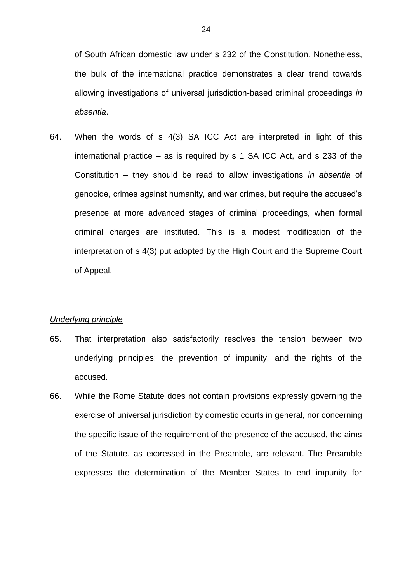of South African domestic law under s 232 of the Constitution. Nonetheless, the bulk of the international practice demonstrates a clear trend towards allowing investigations of universal jurisdiction-based criminal proceedings *in absentia*.

64. When the words of s 4(3) SA ICC Act are interpreted in light of this international practice – as is required by s 1 SA ICC Act, and s 233 of the Constitution – they should be read to allow investigations *in absentia* of genocide, crimes against humanity, and war crimes, but require the accused's presence at more advanced stages of criminal proceedings, when formal criminal charges are instituted. This is a modest modification of the interpretation of s 4(3) put adopted by the High Court and the Supreme Court of Appeal.

#### *Underlying principle*

- 65. That interpretation also satisfactorily resolves the tension between two underlying principles: the prevention of impunity, and the rights of the accused.
- 66. While the Rome Statute does not contain provisions expressly governing the exercise of universal jurisdiction by domestic courts in general, nor concerning the specific issue of the requirement of the presence of the accused, the aims of the Statute, as expressed in the Preamble, are relevant. The Preamble expresses the determination of the Member States to end impunity for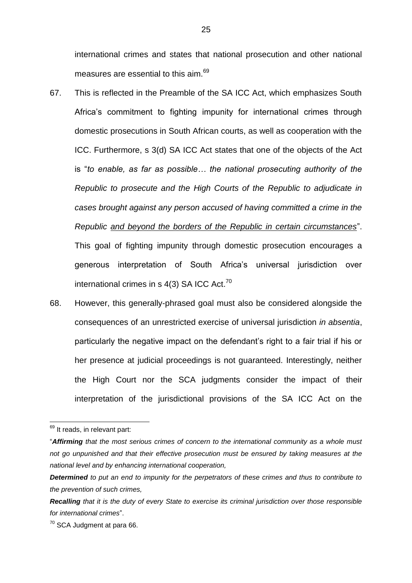international crimes and states that national prosecution and other national measures are essential to this aim.<sup>69</sup>

- 67. This is reflected in the Preamble of the SA ICC Act, which emphasizes South Africa's commitment to fighting impunity for international crimes through domestic prosecutions in South African courts, as well as cooperation with the ICC. Furthermore, s 3(d) SA ICC Act states that one of the objects of the Act is "*to enable, as far as possible… the national prosecuting authority of the Republic to prosecute and the High Courts of the Republic to adjudicate in cases brought against any person accused of having committed a crime in the Republic and beyond the borders of the Republic in certain circumstances*". This goal of fighting impunity through domestic prosecution encourages a generous interpretation of South Africa's universal jurisdiction over international crimes in s 4(3) SA ICC Act.<sup>70</sup>
- 68. However, this generally-phrased goal must also be considered alongside the consequences of an unrestricted exercise of universal jurisdiction *in absentia*, particularly the negative impact on the defendant's right to a fair trial if his or her presence at judicial proceedings is not guaranteed. Interestingly, neither the High Court nor the SCA judgments consider the impact of their interpretation of the jurisdictional provisions of the SA ICC Act on the

 $69$  It reads, in relevant part:

<sup>&</sup>quot;*Affirming that the most serious crimes of concern to the international community as a whole must not go unpunished and that their effective prosecution must be ensured by taking measures at the national level and by enhancing international cooperation,*

*Determined to put an end to impunity for the perpetrators of these crimes and thus to contribute to the prevention of such crimes,*

*Recalling that it is the duty of every State to exercise its criminal jurisdiction over those responsible for international crimes*".

<sup>70</sup> SCA Judgment at para 66.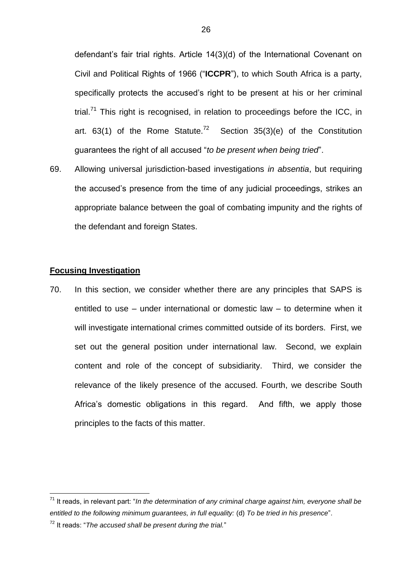defendant's fair trial rights. Article 14(3)(d) of the International Covenant on Civil and Political Rights of 1966 ("**ICCPR**"), to which South Africa is a party, specifically protects the accused's right to be present at his or her criminal trial. $71$  This right is recognised, in relation to proceedings before the ICC, in art. 63(1) of the Rome Statute.<sup>72</sup> Section 35(3)(e) of the Constitution guarantees the right of all accused "*to be present when being tried*".

69. Allowing universal jurisdiction-based investigations *in absentia*, but requiring the accused's presence from the time of any judicial proceedings, strikes an appropriate balance between the goal of combating impunity and the rights of the defendant and foreign States.

## **Focusing Investigation**

1

70. In this section, we consider whether there are any principles that SAPS is entitled to use – under international or domestic law – to determine when it will investigate international crimes committed outside of its borders. First, we set out the general position under international law. Second, we explain content and role of the concept of subsidiarity. Third, we consider the relevance of the likely presence of the accused. Fourth, we describe South Africa's domestic obligations in this regard. And fifth, we apply those principles to the facts of this matter.

<sup>72</sup> It reads: "*The accused shall be present during the trial.*"

<sup>71</sup> It reads, in relevant part: "*In the determination of any criminal charge against him, everyone shall be entitled to the following minimum guarantees, in full equality:* (d) *To be tried in his presence*".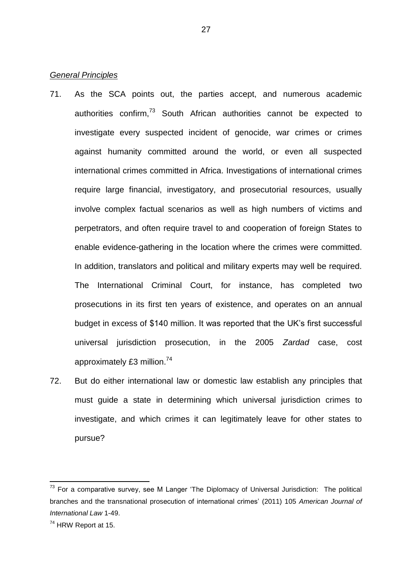### *General Principles*

- 71. As the SCA points out, the parties accept, and numerous academic authorities confirm,<sup>73</sup> South African authorities cannot be expected to investigate every suspected incident of genocide, war crimes or crimes against humanity committed around the world, or even all suspected international crimes committed in Africa. Investigations of international crimes require large financial, investigatory, and prosecutorial resources, usually involve complex factual scenarios as well as high numbers of victims and perpetrators, and often require travel to and cooperation of foreign States to enable evidence-gathering in the location where the crimes were committed. In addition, translators and political and military experts may well be required. The International Criminal Court, for instance, has completed two prosecutions in its first ten years of existence, and operates on an annual budget in excess of \$140 million. It was reported that the UK's first successful universal jurisdiction prosecution, in the 2005 *Zardad* case, cost approximately £3 million.<sup>74</sup>
- 72. But do either international law or domestic law establish any principles that must guide a state in determining which universal jurisdiction crimes to investigate, and which crimes it can legitimately leave for other states to pursue?

 $73$  For a comparative survey, see M Langer 'The Diplomacy of Universal Jurisdiction: The political branches and the transnational prosecution of international crimes' (2011) 105 *American Journal of International Law* 1-49.

 $74$  HRW Report at 15.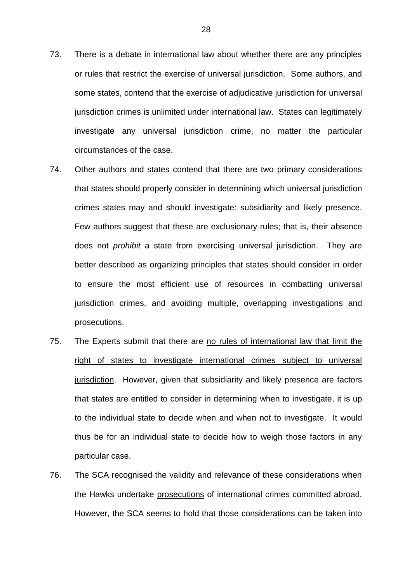- 73. There is a debate in international law about whether there are any principles or rules that restrict the exercise of universal jurisdiction. Some authors, and some states, contend that the exercise of adjudicative jurisdiction for universal jurisdiction crimes is unlimited under international law. States can legitimately investigate any universal jurisdiction crime, no matter the particular circumstances of the case.
- 74. Other authors and states contend that there are two primary considerations that states should properly consider in determining which universal jurisdiction crimes states may and should investigate: subsidiarity and likely presence. Few authors suggest that these are exclusionary rules; that is, their absence does not *prohibit* a state from exercising universal jurisdiction. They are better described as organizing principles that states should consider in order to ensure the most efficient use of resources in combatting universal jurisdiction crimes, and avoiding multiple, overlapping investigations and prosecutions.
- 75. The Experts submit that there are no rules of international law that limit the right of states to investigate international crimes subject to universal jurisdiction. However, given that subsidiarity and likely presence are factors that states are entitled to consider in determining when to investigate, it is up to the individual state to decide when and when not to investigate. It would thus be for an individual state to decide how to weigh those factors in any particular case.
- 76. The SCA recognised the validity and relevance of these considerations when the Hawks undertake prosecutions of international crimes committed abroad. However, the SCA seems to hold that those considerations can be taken into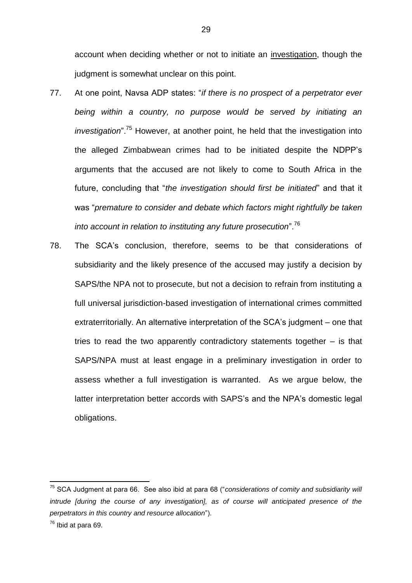account when deciding whether or not to initiate an investigation, though the judgment is somewhat unclear on this point.

- 77. At one point, Navsa ADP states: "*if there is no prospect of a perpetrator ever being within a country, no purpose would be served by initiating an investigation*".<sup>75</sup> However, at another point, he held that the investigation into the alleged Zimbabwean crimes had to be initiated despite the NDPP's arguments that the accused are not likely to come to South Africa in the future, concluding that "*the investigation should first be initiated*" and that it was "*premature to consider and debate which factors might rightfully be taken into account in relation to instituting any future prosecution*".<sup>76</sup>
- 78. The SCA's conclusion, therefore, seems to be that considerations of subsidiarity and the likely presence of the accused may justify a decision by SAPS/the NPA not to prosecute, but not a decision to refrain from instituting a full universal jurisdiction-based investigation of international crimes committed extraterritorially. An alternative interpretation of the SCA's judgment – one that tries to read the two apparently contradictory statements together – is that SAPS/NPA must at least engage in a preliminary investigation in order to assess whether a full investigation is warranted. As we argue below, the latter interpretation better accords with SAPS's and the NPA's domestic legal obligations.

<sup>75</sup> SCA Judgment at para 66. See also ibid at para 68 ("*considerations of comity and subsidiarity will intrude [during the course of any investigation], as of course will anticipated presence of the perpetrators in this country and resource allocation*").

 $76$  Ibid at para 69.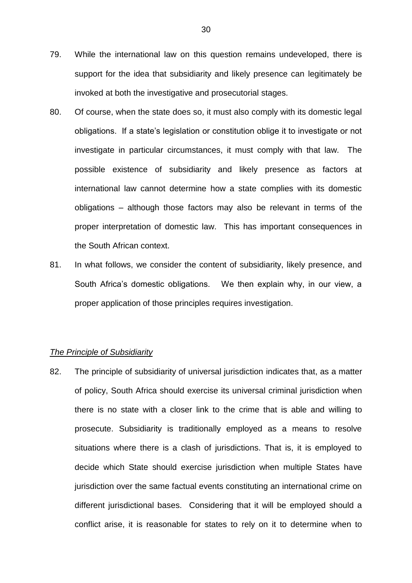- 79. While the international law on this question remains undeveloped, there is support for the idea that subsidiarity and likely presence can legitimately be invoked at both the investigative and prosecutorial stages.
- 80. Of course, when the state does so, it must also comply with its domestic legal obligations. If a state's legislation or constitution oblige it to investigate or not investigate in particular circumstances, it must comply with that law. The possible existence of subsidiarity and likely presence as factors at international law cannot determine how a state complies with its domestic obligations – although those factors may also be relevant in terms of the proper interpretation of domestic law. This has important consequences in the South African context.
- 81. In what follows, we consider the content of subsidiarity, likely presence, and South Africa's domestic obligations. We then explain why, in our view, a proper application of those principles requires investigation.

#### *The Principle of Subsidiarity*

82. The principle of subsidiarity of universal jurisdiction indicates that, as a matter of policy, South Africa should exercise its universal criminal jurisdiction when there is no state with a closer link to the crime that is able and willing to prosecute. Subsidiarity is traditionally employed as a means to resolve situations where there is a clash of jurisdictions. That is, it is employed to decide which State should exercise jurisdiction when multiple States have jurisdiction over the same factual events constituting an international crime on different jurisdictional bases. Considering that it will be employed should a conflict arise, it is reasonable for states to rely on it to determine when to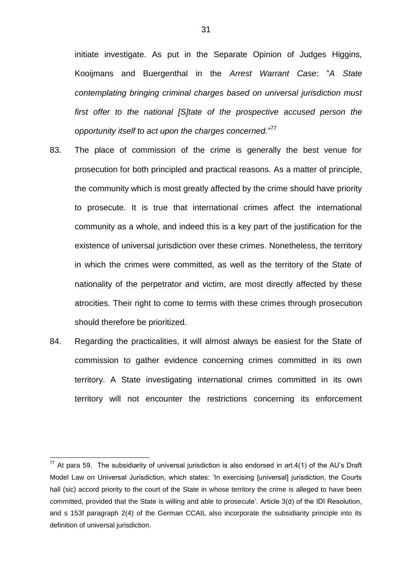initiate investigate. As put in the Separate Opinion of Judges Higgins, Kooijmans and Buergenthal in the *Arrest Warrant Case*: "*A State contemplating bringing criminal charges based on universal jurisdiction must*  first offer to the national [S]tate of the prospective accused person the *opportunity itself to act upon the charges concerned.*" 77

- 83. The place of commission of the crime is generally the best venue for prosecution for both principled and practical reasons. As a matter of principle, the community which is most greatly affected by the crime should have priority to prosecute. It is true that international crimes affect the international community as a whole, and indeed this is a key part of the justification for the existence of universal jurisdiction over these crimes. Nonetheless, the territory in which the crimes were committed, as well as the territory of the State of nationality of the perpetrator and victim, are most directly affected by these atrocities. Their right to come to terms with these crimes through prosecution should therefore be prioritized.
- 84. Regarding the practicalities, it will almost always be easiest for the State of commission to gather evidence concerning crimes committed in its own territory. A State investigating international crimes committed in its own territory will not encounter the restrictions concerning its enforcement

 $77$  At para 59. The subsidiarity of universal jurisdiction is also endorsed in art.4(1) of the AU's Draft Model Law on Universal Jurisdiction, which states: 'In exercising [universal] jurisdiction, the Courts hall (sic) accord priority to the court of the State in whose territory the crime is alleged to have been committed, provided that the State is willing and able to prosecute'. Article 3(d) of the IDI Resolution, and s 153f paragraph 2(4) of the German CCAIL also incorporate the subsidiarity principle into its definition of universal jurisdiction.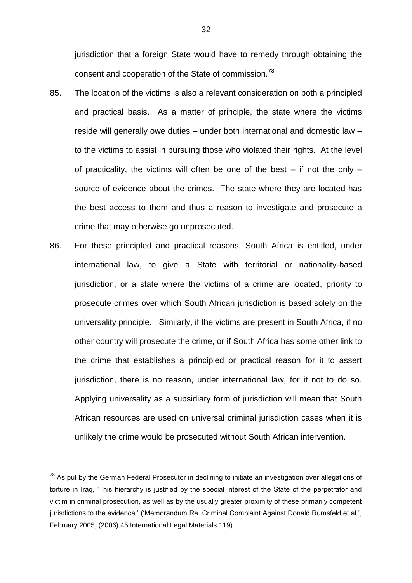jurisdiction that a foreign State would have to remedy through obtaining the consent and cooperation of the State of commission.<sup>78</sup>

- 85. The location of the victims is also a relevant consideration on both a principled and practical basis. As a matter of principle, the state where the victims reside will generally owe duties – under both international and domestic law – to the victims to assist in pursuing those who violated their rights. At the level of practicality, the victims will often be one of the best  $-$  if not the only  $$ source of evidence about the crimes. The state where they are located has the best access to them and thus a reason to investigate and prosecute a crime that may otherwise go unprosecuted.
- 86. For these principled and practical reasons, South Africa is entitled, under international law, to give a State with territorial or nationality-based jurisdiction, or a state where the victims of a crime are located, priority to prosecute crimes over which South African jurisdiction is based solely on the universality principle. Similarly, if the victims are present in South Africa, if no other country will prosecute the crime, or if South Africa has some other link to the crime that establishes a principled or practical reason for it to assert jurisdiction, there is no reason, under international law, for it not to do so. Applying universality as a subsidiary form of jurisdiction will mean that South African resources are used on universal criminal jurisdiction cases when it is unlikely the crime would be prosecuted without South African intervention.

 $78$  As put by the German Federal Prosecutor in declining to initiate an investigation over allegations of torture in Iraq, 'This hierarchy is justified by the special interest of the State of the perpetrator and victim in criminal prosecution, as well as by the usually greater proximity of these primarily competent jurisdictions to the evidence.' ('Memorandum Re. Criminal Complaint Against Donald Rumsfeld et al.', February 2005, (2006) 45 International Legal Materials 119).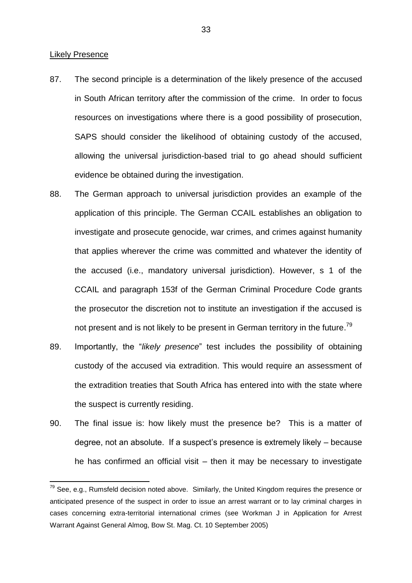#### Likely Presence

- 87. The second principle is a determination of the likely presence of the accused in South African territory after the commission of the crime. In order to focus resources on investigations where there is a good possibility of prosecution, SAPS should consider the likelihood of obtaining custody of the accused, allowing the universal jurisdiction-based trial to go ahead should sufficient evidence be obtained during the investigation.
- 88. The German approach to universal jurisdiction provides an example of the application of this principle. The German CCAIL establishes an obligation to investigate and prosecute genocide, war crimes, and crimes against humanity that applies wherever the crime was committed and whatever the identity of the accused (i.e., mandatory universal jurisdiction). However, s 1 of the CCAIL and paragraph 153f of the German Criminal Procedure Code grants the prosecutor the discretion not to institute an investigation if the accused is not present and is not likely to be present in German territory in the future.<sup>79</sup>
- 89. Importantly, the "*likely presence*" test includes the possibility of obtaining custody of the accused via extradition. This would require an assessment of the extradition treaties that South Africa has entered into with the state where the suspect is currently residing.
- 90. The final issue is: how likely must the presence be? This is a matter of degree, not an absolute. If a suspect's presence is extremely likely – because he has confirmed an official visit – then it may be necessary to investigate

 $79$  See, e.g., Rumsfeld decision noted above. Similarly, the United Kingdom requires the presence or anticipated presence of the suspect in order to issue an arrest warrant or to lay criminal charges in cases concerning extra-territorial international crimes (see Workman J in Application for Arrest Warrant Against General Almog, Bow St. Mag. Ct. 10 September 2005)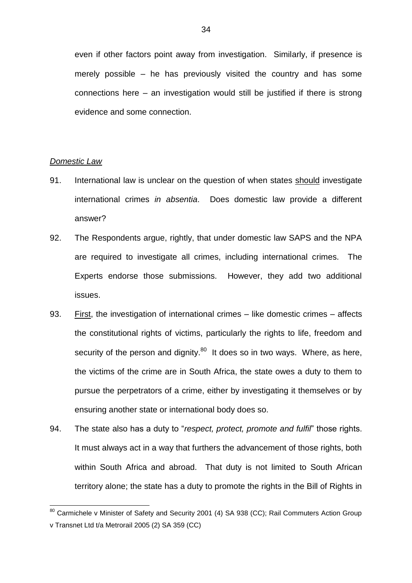even if other factors point away from investigation. Similarly, if presence is merely possible – he has previously visited the country and has some connections here – an investigation would still be justified if there is strong evidence and some connection.

#### *Domestic Law*

- 91. International law is unclear on the question of when states should investigate international crimes *in absentia*. Does domestic law provide a different answer?
- 92. The Respondents argue, rightly, that under domestic law SAPS and the NPA are required to investigate all crimes, including international crimes. The Experts endorse those submissions. However, they add two additional issues.
- 93. First, the investigation of international crimes like domestic crimes affects the constitutional rights of victims, particularly the rights to life, freedom and security of the person and dignity.<sup>80</sup> It does so in two ways. Where, as here, the victims of the crime are in South Africa, the state owes a duty to them to pursue the perpetrators of a crime, either by investigating it themselves or by ensuring another state or international body does so.
- 94. The state also has a duty to "*respect, protect, promote and fulfil*" those rights. It must always act in a way that furthers the advancement of those rights, both within South Africa and abroad. That duty is not limited to South African territory alone; the state has a duty to promote the rights in the Bill of Rights in

<sup>&</sup>lt;sup>80</sup> Carmichele v Minister of Safety and Security 2001 (4) SA 938 (CC): Rail Commuters Action Group v Transnet Ltd t/a Metrorail 2005 (2) SA 359 (CC)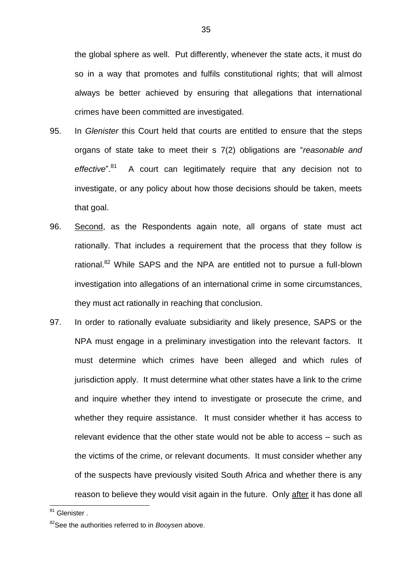the global sphere as well. Put differently, whenever the state acts, it must do so in a way that promotes and fulfils constitutional rights; that will almost always be better achieved by ensuring that allegations that international crimes have been committed are investigated.

- 95. In *Glenister* this Court held that courts are entitled to ensure that the steps organs of state take to meet their s 7(2) obligations are "*reasonable and effective*". 81 A court can legitimately require that any decision not to investigate, or any policy about how those decisions should be taken, meets that goal.
- 96. Second, as the Respondents again note, all organs of state must act rationally. That includes a requirement that the process that they follow is rational.<sup>82</sup> While SAPS and the NPA are entitled not to pursue a full-blown investigation into allegations of an international crime in some circumstances, they must act rationally in reaching that conclusion.
- 97. In order to rationally evaluate subsidiarity and likely presence, SAPS or the NPA must engage in a preliminary investigation into the relevant factors. It must determine which crimes have been alleged and which rules of jurisdiction apply. It must determine what other states have a link to the crime and inquire whether they intend to investigate or prosecute the crime, and whether they require assistance. It must consider whether it has access to relevant evidence that the other state would not be able to access – such as the victims of the crime, or relevant documents. It must consider whether any of the suspects have previously visited South Africa and whether there is any reason to believe they would visit again in the future. Only after it has done all

<sup>&</sup>lt;sup>81</sup> Glenister .

<sup>82</sup>See the authorities referred to in *Booysen* above.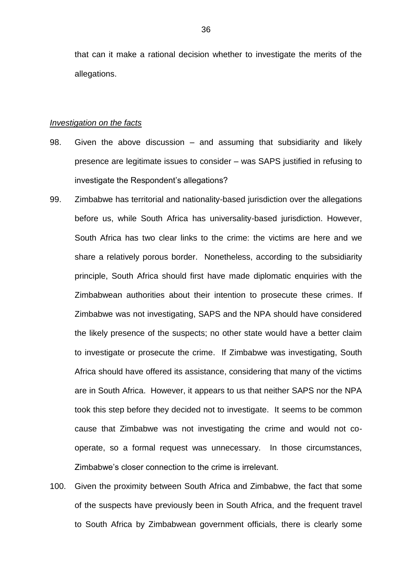that can it make a rational decision whether to investigate the merits of the allegations.

#### *Investigation on the facts*

- 98. Given the above discussion and assuming that subsidiarity and likely presence are legitimate issues to consider – was SAPS justified in refusing to investigate the Respondent's allegations?
- 99. Zimbabwe has territorial and nationality-based jurisdiction over the allegations before us, while South Africa has universality-based jurisdiction. However, South Africa has two clear links to the crime: the victims are here and we share a relatively porous border. Nonetheless, according to the subsidiarity principle, South Africa should first have made diplomatic enquiries with the Zimbabwean authorities about their intention to prosecute these crimes. If Zimbabwe was not investigating, SAPS and the NPA should have considered the likely presence of the suspects; no other state would have a better claim to investigate or prosecute the crime. If Zimbabwe was investigating, South Africa should have offered its assistance, considering that many of the victims are in South Africa. However, it appears to us that neither SAPS nor the NPA took this step before they decided not to investigate. It seems to be common cause that Zimbabwe was not investigating the crime and would not cooperate, so a formal request was unnecessary. In those circumstances, Zimbabwe's closer connection to the crime is irrelevant.
- 100. Given the proximity between South Africa and Zimbabwe, the fact that some of the suspects have previously been in South Africa, and the frequent travel to South Africa by Zimbabwean government officials, there is clearly some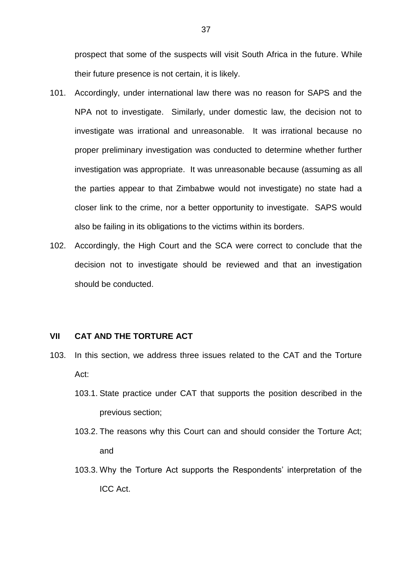prospect that some of the suspects will visit South Africa in the future. While their future presence is not certain, it is likely.

- 101. Accordingly, under international law there was no reason for SAPS and the NPA not to investigate. Similarly, under domestic law, the decision not to investigate was irrational and unreasonable. It was irrational because no proper preliminary investigation was conducted to determine whether further investigation was appropriate. It was unreasonable because (assuming as all the parties appear to that Zimbabwe would not investigate) no state had a closer link to the crime, nor a better opportunity to investigate. SAPS would also be failing in its obligations to the victims within its borders.
- 102. Accordingly, the High Court and the SCA were correct to conclude that the decision not to investigate should be reviewed and that an investigation should be conducted.

#### **VII CAT AND THE TORTURE ACT**

- 103. In this section, we address three issues related to the CAT and the Torture Act:
	- 103.1. State practice under CAT that supports the position described in the previous section;
	- 103.2. The reasons why this Court can and should consider the Torture Act; and
	- 103.3. Why the Torture Act supports the Respondents' interpretation of the ICC Act.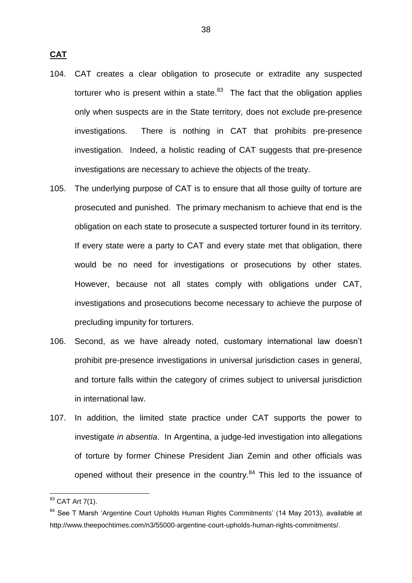**CAT**

- 104. CAT creates a clear obligation to prosecute or extradite any suspected torturer who is present within a state. $83$  The fact that the obligation applies only when suspects are in the State territory, does not exclude pre-presence investigations. There is nothing in CAT that prohibits pre-presence investigation. Indeed, a holistic reading of CAT suggests that pre-presence investigations are necessary to achieve the objects of the treaty.
- 105. The underlying purpose of CAT is to ensure that all those guilty of torture are prosecuted and punished. The primary mechanism to achieve that end is the obligation on each state to prosecute a suspected torturer found in its territory. If every state were a party to CAT and every state met that obligation, there would be no need for investigations or prosecutions by other states. However, because not all states comply with obligations under CAT, investigations and prosecutions become necessary to achieve the purpose of precluding impunity for torturers.
- 106. Second, as we have already noted, customary international law doesn't prohibit pre-presence investigations in universal jurisdiction cases in general, and torture falls within the category of crimes subject to universal jurisdiction in international law.
- 107. In addition, the limited state practice under CAT supports the power to investigate *in absentia*. In Argentina, a judge-led investigation into allegations of torture by former Chinese President Jian Zemin and other officials was opened without their presence in the country.<sup>84</sup> This led to the issuance of

 $83$  CAT Art 7(1).

<sup>&</sup>lt;sup>84</sup> See T Marsh 'Argentine Court Upholds Human Rights Commitments' (14 May 2013), available at http://www.theepochtimes.com/n3/55000-argentine-court-upholds-human-rights-commitments/.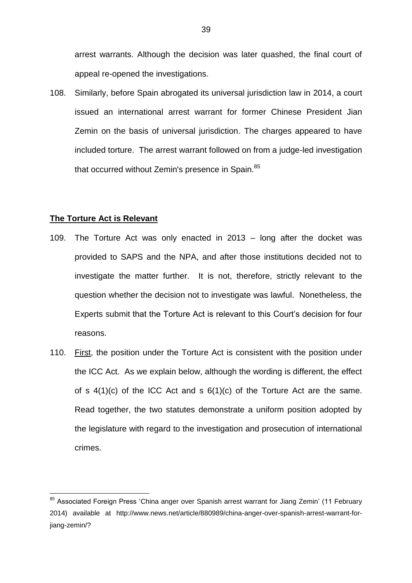arrest warrants. Although the decision was later quashed, the final court of appeal re-opened the investigations.

108. Similarly, before Spain abrogated its universal jurisdiction law in 2014, a court issued an international arrest warrant for former Chinese President Jian Zemin on the basis of universal jurisdiction. The charges appeared to have included torture. The arrest warrant followed on from a judge-led investigation that occurred without Zemin's presence in Spain.<sup>85</sup>

#### **The Torture Act is Relevant**

- 109. The Torture Act was only enacted in 2013 long after the docket was provided to SAPS and the NPA, and after those institutions decided not to investigate the matter further. It is not, therefore, strictly relevant to the question whether the decision not to investigate was lawful. Nonetheless, the Experts submit that the Torture Act is relevant to this Court's decision for four reasons.
- 110. First, the position under the Torture Act is consistent with the position under the ICC Act. As we explain below, although the wording is different, the effect of s  $4(1)(c)$  of the ICC Act and s  $6(1)(c)$  of the Torture Act are the same. Read together, the two statutes demonstrate a uniform position adopted by the legislature with regard to the investigation and prosecution of international crimes.

<sup>&</sup>lt;sup>85</sup> Associated Foreign Press 'China anger over Spanish arrest warrant for Jiang Zemin' (11 February 2014) available at http://www.news.net/article/880989/china-anger-over-spanish-arrest-warrant-forijang-zemin/?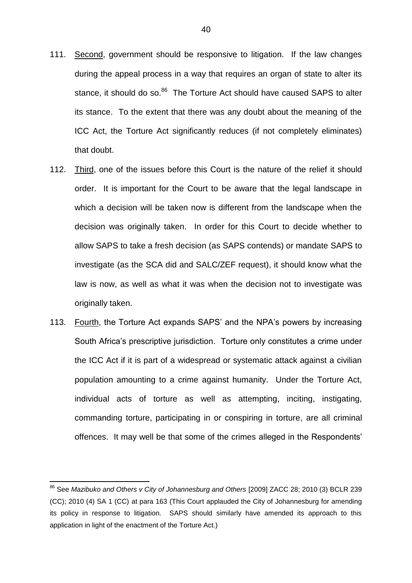- 111. Second, government should be responsive to litigation. If the law changes during the appeal process in a way that requires an organ of state to alter its stance, it should do so.<sup>86</sup> The Torture Act should have caused SAPS to alter its stance. To the extent that there was any doubt about the meaning of the ICC Act, the Torture Act significantly reduces (if not completely eliminates) that doubt.
- 112. Third, one of the issues before this Court is the nature of the relief it should order. It is important for the Court to be aware that the legal landscape in which a decision will be taken now is different from the landscape when the decision was originally taken. In order for this Court to decide whether to allow SAPS to take a fresh decision (as SAPS contends) or mandate SAPS to investigate (as the SCA did and SALC/ZEF request), it should know what the law is now, as well as what it was when the decision not to investigate was originally taken.
- 113. Fourth, the Torture Act expands SAPS' and the NPA's powers by increasing South Africa's prescriptive jurisdiction. Torture only constitutes a crime under the ICC Act if it is part of a widespread or systematic attack against a civilian population amounting to a crime against humanity. Under the Torture Act, individual acts of torture as well as attempting, inciting, instigating, commanding torture, participating in or conspiring in torture, are all criminal offences. It may well be that some of the crimes alleged in the Respondents'

<sup>86</sup> See *Mazibuko and Others v City of Johannesburg and Others* [2009] ZACC 28; 2010 (3) BCLR 239 (CC); 2010 (4) SA 1 (CC) at para 163 (This Court applauded the City of Johannesburg for amending its policy in response to litigation. SAPS should similarly have amended its approach to this application in light of the enactment of the Torture Act.)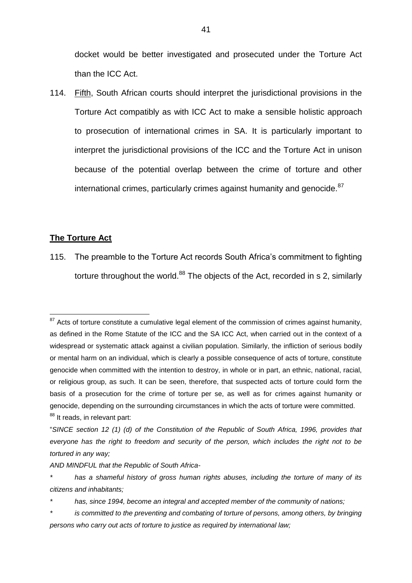docket would be better investigated and prosecuted under the Torture Act than the ICC Act.

114. Fifth, South African courts should interpret the jurisdictional provisions in the Torture Act compatibly as with ICC Act to make a sensible holistic approach to prosecution of international crimes in SA. It is particularly important to interpret the jurisdictional provisions of the ICC and the Torture Act in unison because of the potential overlap between the crime of torture and other international crimes, particularly crimes against humanity and genocide.<sup>87</sup>

#### **The Torture Act**

115. The preamble to the Torture Act records South Africa's commitment to fighting torture throughout the world. $88$  The objects of the Act, recorded in s 2, similarly

*AND MINDFUL that the Republic of South Africa-*

<sup>1</sup>  $87$  Acts of torture constitute a cumulative legal element of the commission of crimes against humanity, as defined in the Rome Statute of the ICC and the SA ICC Act, when carried out in the context of a widespread or systematic attack against a civilian population. Similarly, the infliction of serious bodily or mental harm on an individual, which is clearly a possible consequence of acts of torture, constitute genocide when committed with the intention to destroy, in whole or in part, an ethnic, national, racial, or religious group, as such. It can be seen, therefore, that suspected acts of torture could form the basis of a prosecution for the crime of torture per se, as well as for crimes against humanity or genocide, depending on the surrounding circumstances in which the acts of torture were committed. 88 It reads, in relevant part:

<sup>&</sup>quot;*SINCE section 12 (1) (d) of the Constitution of the Republic of South Africa, 1996, provides that everyone has the right to freedom and security of the person, which includes the right not to be tortured in any way;*

*<sup>\*</sup> has a shameful history of gross human rights abuses, including the torture of many of its citizens and inhabitants;*

*<sup>\*</sup> has, since 1994, become an integral and accepted member of the community of nations;*

*<sup>\*</sup> is committed to the preventing and combating of torture of persons, among others, by bringing persons who carry out acts of torture to justice as required by international law;*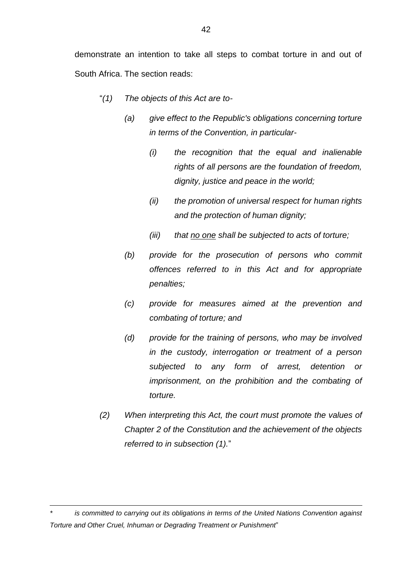demonstrate an intention to take all steps to combat torture in and out of South Africa. The section reads:

- "*(1) The objects of this Act are to-*
	- *(a) give effect to the Republic's obligations concerning torture in terms of the Convention, in particular-*
		- *(i) the recognition that the equal and inalienable rights of all persons are the foundation of freedom, dignity, justice and peace in the world;*
		- *(ii) the promotion of universal respect for human rights and the protection of human dignity;*
		- *(iii) that no one shall be subjected to acts of torture;*
	- *(b) provide for the prosecution of persons who commit offences referred to in this Act and for appropriate penalties;*
	- *(c) provide for measures aimed at the prevention and combating of torture; and*
	- *(d) provide for the training of persons, who may be involved in the custody, interrogation or treatment of a person subjected to any form of arrest, detention or imprisonment, on the prohibition and the combating of torture.*
- *(2) When interpreting this Act, the court must promote the values of Chapter 2 of the Constitution and the achievement of the objects referred to in subsection (1).*"

*\* is committed to carrying out its obligations in terms of the United Nations Convention against Torture and Other Cruel, Inhuman or Degrading Treatment or Punishment*"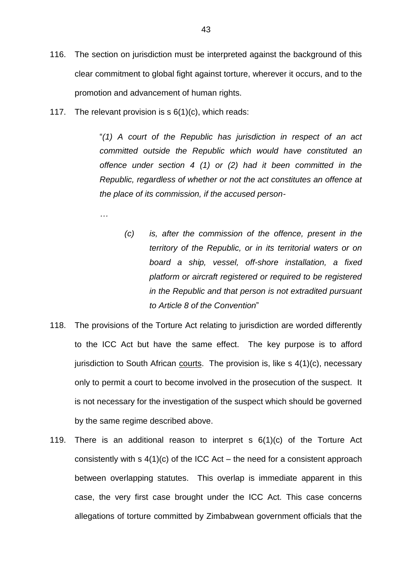- 116. The section on jurisdiction must be interpreted against the background of this clear commitment to global fight against torture, wherever it occurs, and to the promotion and advancement of human rights.
- 117. The relevant provision is s 6(1)(c), which reads:

"*(1) A court of the Republic has jurisdiction in respect of an act committed outside the Republic which would have constituted an offence under section 4 (1) or (2) had it been committed in the Republic, regardless of whether or not the act constitutes an offence at the place of its commission, if the accused person-*

*…*

- *(c) is, after the commission of the offence, present in the territory of the Republic, or in its territorial waters or on board a ship, vessel, off-shore installation, a fixed platform or aircraft registered or required to be registered in the Republic and that person is not extradited pursuant to Article 8 of the Convention*"
- 118. The provisions of the Torture Act relating to jurisdiction are worded differently to the ICC Act but have the same effect. The key purpose is to afford jurisdiction to South African courts. The provision is, like  $s$  4(1)(c), necessary only to permit a court to become involved in the prosecution of the suspect. It is not necessary for the investigation of the suspect which should be governed by the same regime described above.
- 119. There is an additional reason to interpret s 6(1)(c) of the Torture Act consistently with  $s \, 4(1)(c)$  of the ICC Act – the need for a consistent approach between overlapping statutes. This overlap is immediate apparent in this case, the very first case brought under the ICC Act. This case concerns allegations of torture committed by Zimbabwean government officials that the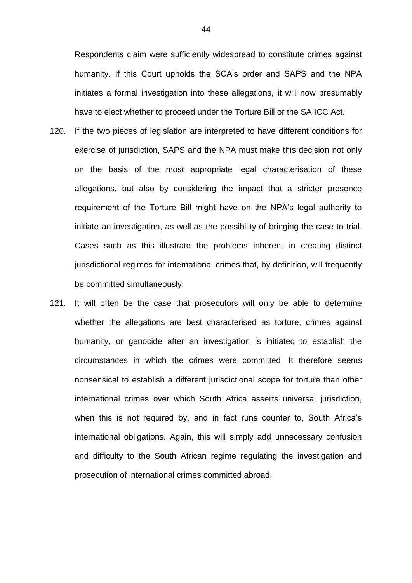Respondents claim were sufficiently widespread to constitute crimes against humanity. If this Court upholds the SCA's order and SAPS and the NPA initiates a formal investigation into these allegations, it will now presumably have to elect whether to proceed under the Torture Bill or the SA ICC Act.

- 120. If the two pieces of legislation are interpreted to have different conditions for exercise of jurisdiction, SAPS and the NPA must make this decision not only on the basis of the most appropriate legal characterisation of these allegations, but also by considering the impact that a stricter presence requirement of the Torture Bill might have on the NPA's legal authority to initiate an investigation, as well as the possibility of bringing the case to trial. Cases such as this illustrate the problems inherent in creating distinct jurisdictional regimes for international crimes that, by definition, will frequently be committed simultaneously.
- 121. It will often be the case that prosecutors will only be able to determine whether the allegations are best characterised as torture, crimes against humanity, or genocide after an investigation is initiated to establish the circumstances in which the crimes were committed. It therefore seems nonsensical to establish a different jurisdictional scope for torture than other international crimes over which South Africa asserts universal jurisdiction, when this is not required by, and in fact runs counter to, South Africa's international obligations. Again, this will simply add unnecessary confusion and difficulty to the South African regime regulating the investigation and prosecution of international crimes committed abroad.